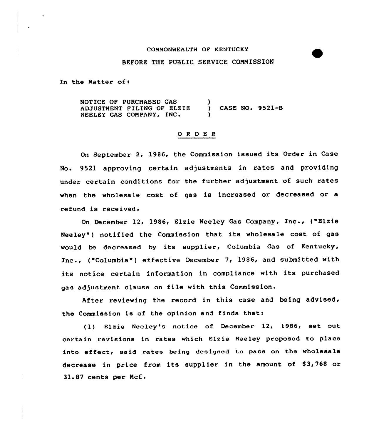## COMMONWEALTH OF KENTUCKY

#### BEFORE THE PUBLIC SERVICE CONMISSION

In the Matter of:

NOTICE OP PURCHASED GAS ADJUSTNENT PILING OP ELZIE NEELEY GAS COMPANY, INC. ) ) CASE NO«9521-B )

### 0 <sup>R</sup> <sup>D</sup> <sup>E</sup> <sup>R</sup>

On September 2, 1986, the Commission issued its Order in Case No. 9521 approving certain adjustments in rates and providing under certain conditions for the further adjustment of such rates when the wholesale cost of gas is increased or decreased or a refund is r

December 12, 1986, Elzie Neeley Gas Company, Inc., ("Elzie Neeley") notified the Commission that its wholesale cost of gas would be decreased by its supplier, Columbia Gas of Kentucky, Inc., ("Columbia") effective December 7, 1986, and submitted with its notice certain information in compliance with its purchased gas adjustment clause on file with this Commission.

After reviewing the record in this case and being advised, the Commission is of the opinion and finds that:

(1) Elzie Neeley's notice of December 12, 1986, set out certain revisions in rates which Elzie Neeley proposed to place into effect, said rates being designed to pass on the wholesale decrease in price from its supplier in the amount of \$3,768 or 31.87 cents per Ncf-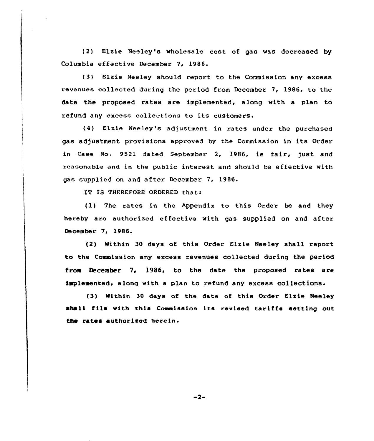(2) Elzie Neeley's wholesale cost of gas was decreased by Columbia effective December 7, 1986.

(3) Elzie Meeley should report to the Commission any excess revenues collected during the period from December 7, 1986, to the date the proposed rates are implemented, along with a plan to refund any excess collections to its customers.

(4) Elzie Neeley's adjustment in rates under the purchased gas adjustment provisions approved by the Commission in its Order in Case No. 9521 dated September 2, 1986, is fair, just and reasonable and in the public interest and should be effective with gas supplied on and after December 7, 1986.

IT IS THEREFORE ORDERED that:

(1) The rates in the Appendix to this Order be and they hereby are authorized effective with gas supplied on and after December '7, 1986.

(2) Within 30 days of this Order Elzie Neeley shall report to the Commission any excess revenues collected during the period from December 7, 1986, to the date the proposed rates are implemented, along with a plan to refund any excess collections.

(3) Within 30 days of the date of this Order Elzie Neeley shall file with this Commission its revised tariffs setting out the rates authorised herein.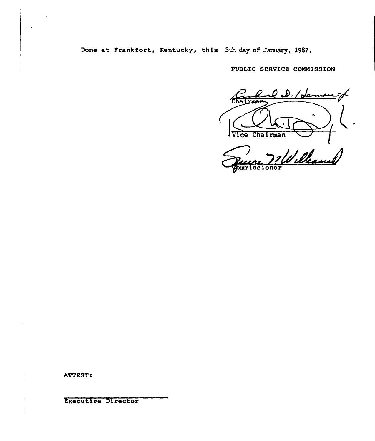Done at Frankfort, Kentucky, this 5th day of January, 1987.

PUBLIC SERVICE COMMISSION

l 2.1 dam  $\overline{\text{Cha I}}$ **CHAR** K.  $\bullet$ Vice Chairman

William bmmissioner

ATTEST!

f.

Executive Director